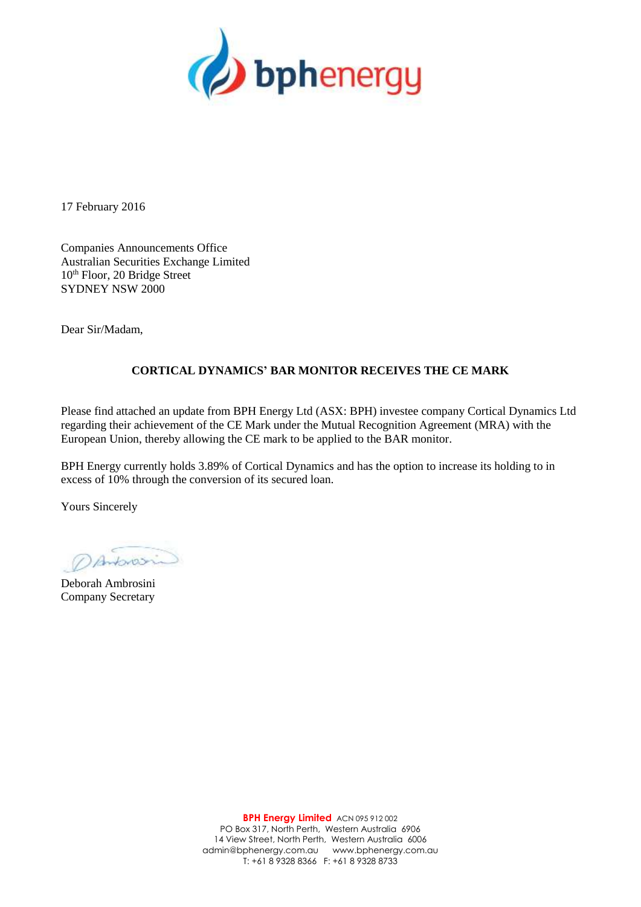

17 February 2016

Companies Announcements Office Australian Securities Exchange Limited 10th Floor, 20 Bridge Street SYDNEY NSW 2000

Dear Sir/Madam,

## **CORTICAL DYNAMICS' BAR MONITOR RECEIVES THE CE MARK**

Please find attached an update from BPH Energy Ltd (ASX: BPH) investee company Cortical Dynamics Ltd regarding their achievement of the CE Mark under the Mutual Recognition Agreement (MRA) with the European Union, thereby allowing the CE mark to be applied to the BAR monitor.

BPH Energy currently holds 3.89% of Cortical Dynamics and has the option to increase its holding to in excess of 10% through the conversion of its secured loan.

Yours Sincerely

DAnbrosi

Deborah Ambrosini Company Secretary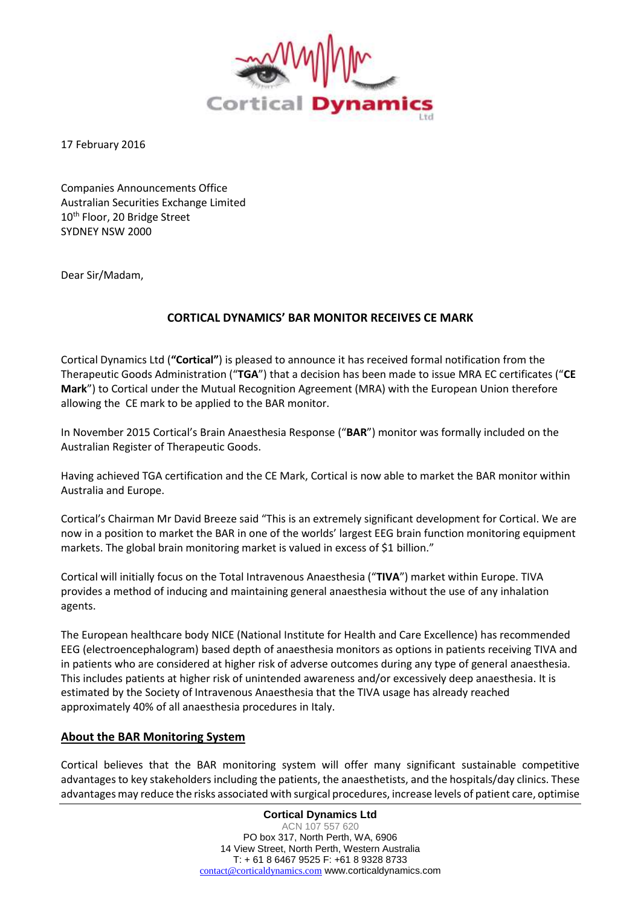

17 February 2016

Companies Announcements Office Australian Securities Exchange Limited 10<sup>th</sup> Floor, 20 Bridge Street SYDNEY NSW 2000

Dear Sir/Madam,

## **CORTICAL DYNAMICS' BAR MONITOR RECEIVES CE MARK**

Cortical Dynamics Ltd (**"Cortical"**) is pleased to announce it has received formal notification from the Therapeutic Goods Administration ("**TGA**") that a decision has been made to issue MRA EC certificates ("**CE Mark**") to Cortical under the Mutual Recognition Agreement (MRA) with the European Union therefore allowing the CE mark to be applied to the BAR monitor.

In November 2015 Cortical's Brain Anaesthesia Response ("**BAR**") monitor was formally included on the Australian Register of Therapeutic Goods.

Having achieved TGA certification and the CE Mark, Cortical is now able to market the BAR monitor within Australia and Europe.

Cortical's Chairman Mr David Breeze said "This is an extremely significant development for Cortical. We are now in a position to market the BAR in one of the worlds' largest EEG brain function monitoring equipment markets. The global brain monitoring market is valued in excess of \$1 billion."

Cortical will initially focus on the Total Intravenous Anaesthesia ("**TIVA**") market within Europe. TIVA provides a method of inducing and maintaining general anaesthesia without the use of any inhalation agents.

The European healthcare body NICE (National Institute for Health and Care Excellence) has recommended EEG (electroencephalogram) based depth of anaesthesia monitors as options in patients receiving TIVA and in patients who are considered at higher risk of adverse outcomes during any type of general anaesthesia. This includes patients at higher risk of unintended awareness and/or excessively deep anaesthesia. It is estimated by the Society of Intravenous Anaesthesia that the TIVA usage has already reached approximately 40% of all anaesthesia procedures in Italy.

## **About the BAR Monitoring System**

Cortical believes that the BAR monitoring system will offer many significant sustainable competitive advantages to key stakeholders including the patients, the anaesthetists, and the hospitals/day clinics. These advantages may reduce the risks associated with surgical procedures, increase levels of patient care, optimise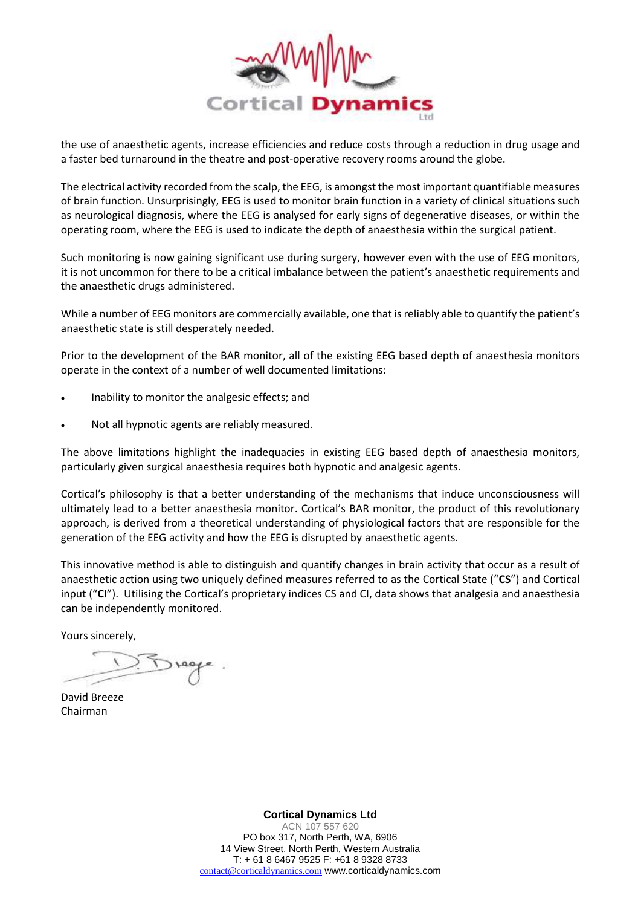

the use of anaesthetic agents, increase efficiencies and reduce costs through a reduction in drug usage and a faster bed turnaround in the theatre and post-operative recovery rooms around the globe.

The electrical activity recorded from the scalp, the EEG, is amongst the most important quantifiable measures of brain function. Unsurprisingly, EEG is used to monitor brain function in a variety of clinical situations such as neurological diagnosis, where the EEG is analysed for early signs of degenerative diseases, or within the operating room, where the EEG is used to indicate the depth of anaesthesia within the surgical patient.

Such monitoring is now gaining significant use during surgery, however even with the use of EEG monitors, it is not uncommon for there to be a critical imbalance between the patient's anaesthetic requirements and the anaesthetic drugs administered.

While a number of EEG monitors are commercially available, one that is reliably able to quantify the patient's anaesthetic state is still desperately needed.

Prior to the development of the BAR monitor, all of the existing EEG based depth of anaesthesia monitors operate in the context of a number of well documented limitations:

- Inability to monitor the analgesic effects; and
- Not all hypnotic agents are reliably measured.

The above limitations highlight the inadequacies in existing EEG based depth of anaesthesia monitors, particularly given surgical anaesthesia requires both hypnotic and analgesic agents.

Cortical's philosophy is that a better understanding of the mechanisms that induce unconsciousness will ultimately lead to a better anaesthesia monitor. Cortical's BAR monitor, the product of this revolutionary approach, is derived from a theoretical understanding of physiological factors that are responsible for the generation of the EEG activity and how the EEG is disrupted by anaesthetic agents.

This innovative method is able to distinguish and quantify changes in brain activity that occur as a result of anaesthetic action using two uniquely defined measures referred to as the Cortical State ("**CS**") and Cortical input ("**CI**"). Utilising the Cortical's proprietary indices CS and CI, data shows that analgesia and anaesthesia can be independently monitored.

Yours sincerely,

David Breeze Chairman